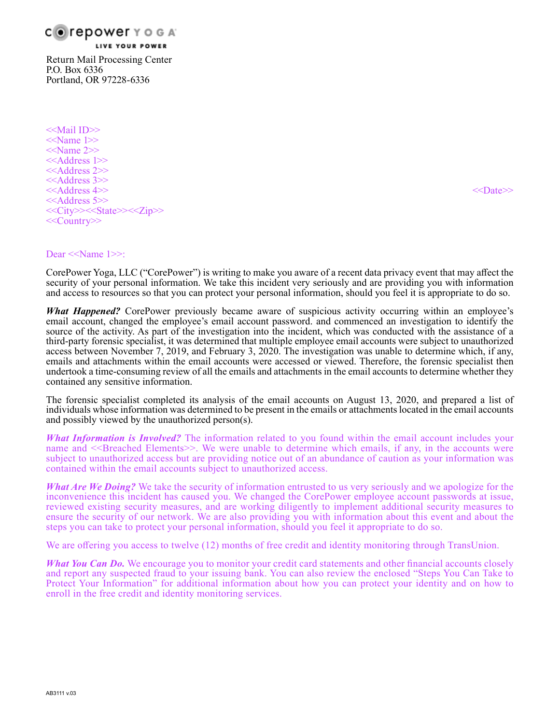

Return Mail Processing Center P.O. Box 6336 Portland, OR 97228-6336

<<Mail ID>> <<Name 1>>  $\le$ Name 2>> <<Address 1>> <<Address 2>> <<Address 3>> <<Address 4>> <<Date>> <<Address 5>> <<City>><<State>><<Zip>> <<Country>>

#### Dear <<Name 1>>:

CorePower Yoga, LLC ("CorePower") is writing to make you aware of a recent data privacy event that may affect the security of your personal information. We take this incident very seriously and are providing you with information and access to resources so that you can protect your personal information, should you feel it is appropriate to do so.

*What Happened?* CorePower previously became aware of suspicious activity occurring within an employee's email account, changed the employee's email account password. and commenced an investigation to identify the source of the activity. As part of the investigation into the incident, which was conducted with the assistance of a third-party forensic specialist, it was determined that multiple employee email accounts were subject to unauthorized access between November 7, 2019, and February 3, 2020. The investigation was unable to determine which, if any, emails and attachments within the email accounts were accessed or viewed. Therefore, the forensic specialist then undertook a time-consuming review of all the emails and attachments in the email accounts to determine whether they contained any sensitive information.

The forensic specialist completed its analysis of the email accounts on August 13, 2020, and prepared a list of individuals whose information was determined to be present in the emails or attachments located in the email accounts and possibly viewed by the unauthorized person(s).

*What Information is Involved?* The information related to you found within the email account includes your name and <<Br/>Breached Elements>>. We were unable to determine which emails, if any, in the accounts were subject to unauthorized access but are providing notice out of an abundance of caution as your information was contained within the email accounts subject to unauthorized access.

*What Are We Doing?* We take the security of information entrusted to us very seriously and we apologize for the inconvenience this incident has caused you. We changed the CorePower employee account passwords at issue, reviewed existing security measures, and are working diligently to implement additional security measures to ensure the security of our network. We are also providing you with information about this event and about the steps you can take to protect your personal information, should you feel it appropriate to do so.

We are offering you access to twelve (12) months of free credit and identity monitoring through TransUnion.

*What You Can Do.* We encourage you to monitor your credit card statements and other financial accounts closely and report any suspected fraud to your issuing bank. You can also review the enclosed "Steps You Can Take to Protect Your Information" for additional information about how you can protect your identity and on how to enroll in the free credit and identity monitoring services.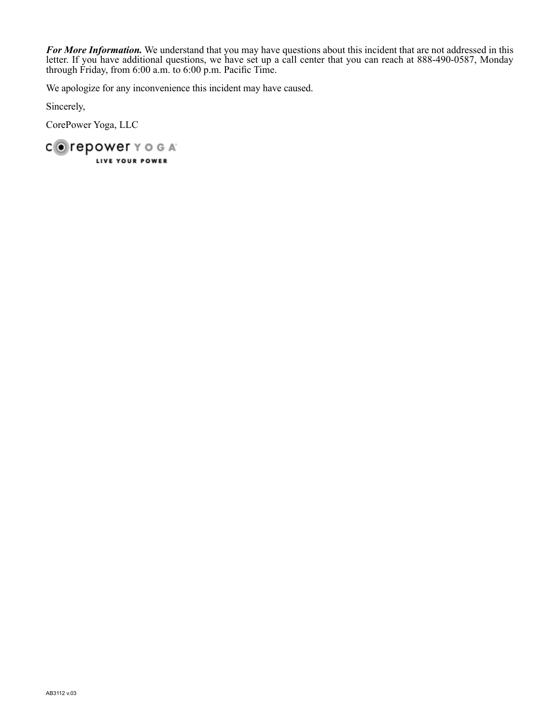*For More Information.* We understand that you may have questions about this incident that are not addressed in this letter. If you have additional questions, we have set up a call center that you can reach at 888-490-0587, Monday through Friday, from 6:00 a.m. to 6:00 p.m. Pacific Time.

We apologize for any inconvenience this incident may have caused.

Sincerely,

CorePower Yoga, LLC

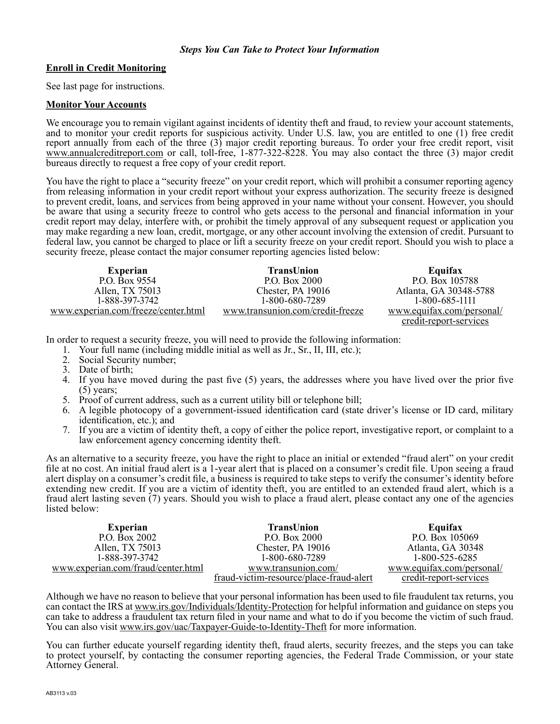#### *Steps You Can Take to Protect Your Information*

### **Enroll in Credit Monitoring**

See last page for instructions.

#### **Monitor Your Accounts**

We encourage you to remain vigilant against incidents of identity theft and fraud, to review your account statements, and to monitor your credit reports for suspicious activity. Under U.S. law, you are entitled to one (1) free credit report annually from each of the three (3) major credit reporting bureaus. To order your free credit report, visit www.annualcreditreport.com or call, toll-free, 1-877-322-8228. You may also contact the three (3) major credit bureaus directly to request a free copy of your credit report.

You have the right to place a "security freeze" on your credit report, which will prohibit a consumer reporting agency from releasing information in your credit report without your express authorization. The security freeze is designed to prevent credit, loans, and services from being approved in your name without your consent. However, you should be aware that using a security freeze to control who gets access to the personal and financial information in your credit report may delay, interfere with, or prohibit the timely approval of any subsequent request or application you may make regarding a new loan, credit, mortgage, or any other account involving the extension of credit. Pursuant to federal law, you cannot be charged to place or lift a security freeze on your credit report. Should you wish to place a security freeze, please contact the major consumer reporting agencies listed below:

| <b>Experian</b>                     | <b>TransUnion</b>                | Equifax                   |
|-------------------------------------|----------------------------------|---------------------------|
| P.O. Box 9554                       | P.O. Box 2000                    | P.O. Box 105788           |
| Allen, TX 75013                     | Chester, PA 19016                | Atlanta, GA 30348-5788    |
| 1-888-397-3742                      | 1-800-680-7289                   | 1-800-685-1111            |
| www.experian.com/freeze/center.html | www.transunion.com/credit-freeze | www.equifax.com/personal/ |
|                                     |                                  | credit-report-services    |

In order to request a security freeze, you will need to provide the following information:

- 1. Your full name (including middle initial as well as Jr., Sr., II, III, etc.);
- 2. Social Security number;
- 3. Date of birth;
- 4. If you have moved during the past five (5) years, the addresses where you have lived over the prior five  $(5)$  years;
- 5. Proof of current address, such as a current utility bill or telephone bill;
- 6. A legible photocopy of a government-issued identification card (state driver's license or ID card, military identification, etc.); and
- 7. If you are a victim of identity theft, a copy of either the police report, investigative report, or complaint to a law enforcement agency concerning identity theft.

As an alternative to a security freeze, you have the right to place an initial or extended "fraud alert" on your credit file at no cost. An initial fraud alert is a 1-year alert that is placed on a consumer's credit file. Upon seeing a fraud alert display on a consumer's credit file, a business is required to take steps to verify the consumer's identity before extending new credit. If you are a victim of identity theft, you are entitled to an extended fraud alert, which is a fraud alert lasting seven (7) years. Should you wish to place a fraud alert, please contact any one of the agencies listed below:

| <b>Experian</b>                    | TransUnion                              | Equifax                   |
|------------------------------------|-----------------------------------------|---------------------------|
| P.O. Box 2002                      | P.O. Box 2000                           | P.O. Box 105069           |
| Allen, TX 75013                    | Chester, PA 19016                       | Atlanta, GA 30348         |
| 1-888-397-3742                     | 1-800-680-7289                          | 1-800-525-6285            |
| www.experian.com/fraud/center.html | www.transunion.com/                     | www.equifax.com/personal/ |
|                                    | fraud-victim-resource/place-fraud-alert | credit-report-services    |

Although we have no reason to believe that your personal information has been used to file fraudulent tax returns, you can contact the IRS at www.irs.gov/Individuals/Identity-Protection for helpful information and guidance on steps you can take to address a fraudulent tax return filed in your name and what to do if you become the victim of such fraud. You can also visit www.irs.gov/uac/Taxpayer-Guide-to-Identity-Theft for more information.

You can further educate yourself regarding identity theft, fraud alerts, security freezes, and the steps you can take to protect yourself, by contacting the consumer reporting agencies, the Federal Trade Commission, or your state Attorney General.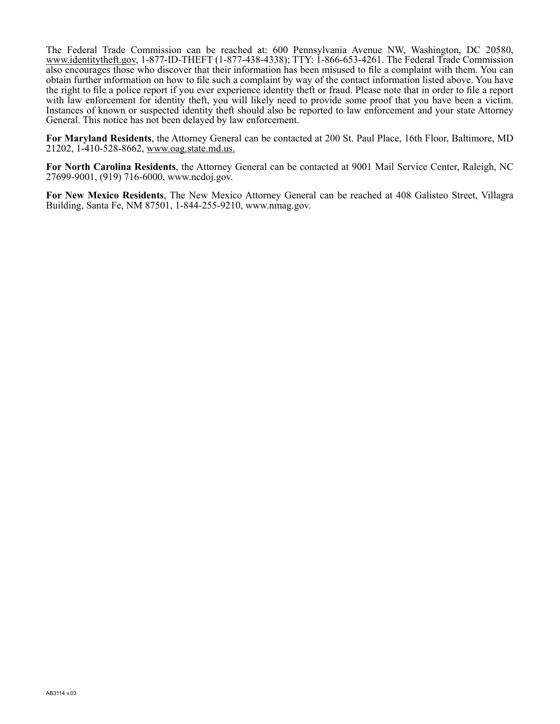The Federal Trade Commission can be reached at: 600 Pennsylvania Avenue NW, Washington, DC 20580, www.identitytheft.gov, 1-877-ID-THEFT (1-877-438-4338); TTY: 1-866-653-4261. The Federal Trade Commission also encourages those who discover that their information has been misused to file a complaint with them. You can obtain further information on how to file such a complaint by way of the contact information listed above. You have the right to file a police report if you ever experience identity theft or fraud. Please note that in order to file a report with law enforcement for identity theft, you will likely need to provide some proof that you have been a victim. Instances of known or suspected identity theft should also be reported to law enforcement and your state Attorney General. This notice has not been delayed by law enforcement.

**For Maryland Residents**, the Attorney General can be contacted at 200 St. Paul Place, 16th Floor, Baltimore, MD 21202, 1-410-528-8662, www.oag.state.md.us.

**For North Carolina Residents**, the Attorney General can be contacted at 9001 Mail Service Center, Raleigh, NC 27699-9001, (919) 716-6000, www.ncdoj.gov.

**For New Mexico Residents**, The New Mexico Attorney General can be reached at 408 Galisteo Street, Villagra Building, Santa Fe, NM 87501, 1-844-255-9210, www.nmag.gov.